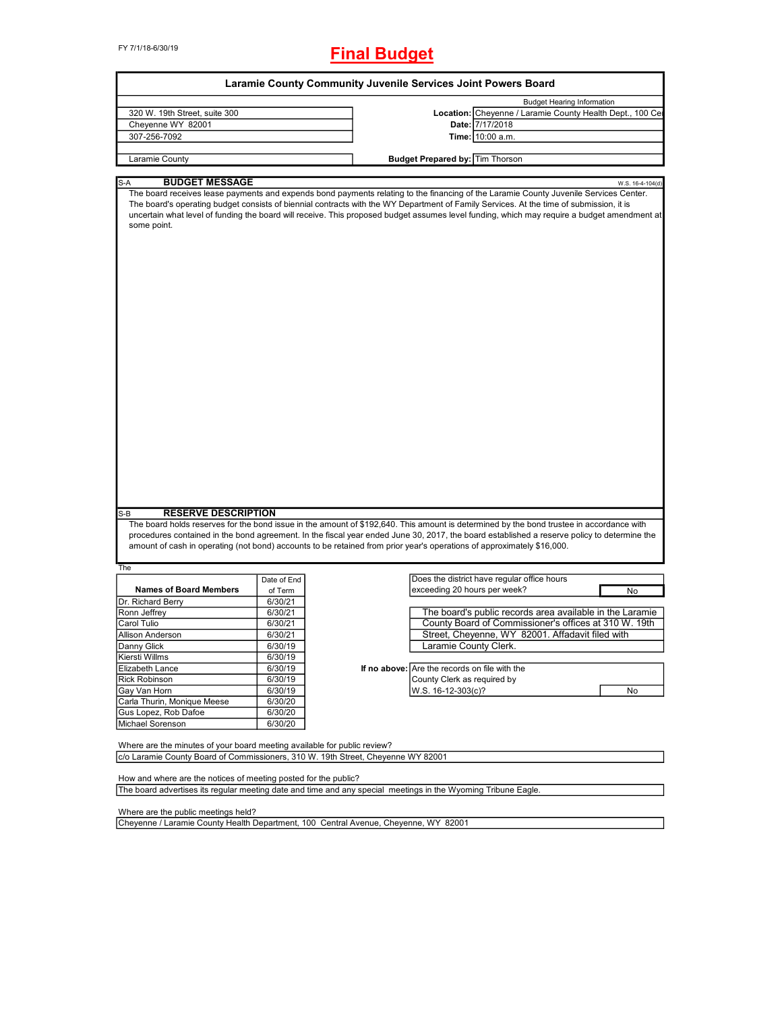FY 7/1/18-6/30/19

# **Final Budget**

|                                                                                                                                                                                                                                                                                                                                                                                                                    |                    |                                               | <b>Budget Hearing Information</b>                                                                                                                                                                                                                                                                                                                                                                                               |                  |
|--------------------------------------------------------------------------------------------------------------------------------------------------------------------------------------------------------------------------------------------------------------------------------------------------------------------------------------------------------------------------------------------------------------------|--------------------|-----------------------------------------------|---------------------------------------------------------------------------------------------------------------------------------------------------------------------------------------------------------------------------------------------------------------------------------------------------------------------------------------------------------------------------------------------------------------------------------|------------------|
| 320 W. 19th Street, suite 300                                                                                                                                                                                                                                                                                                                                                                                      |                    |                                               | Location: Cheyenne / Laramie County Health Dept., 100 Ce                                                                                                                                                                                                                                                                                                                                                                        |                  |
| Cheyenne WY 82001                                                                                                                                                                                                                                                                                                                                                                                                  |                    |                                               | Date: 7/17/2018                                                                                                                                                                                                                                                                                                                                                                                                                 |                  |
| 307-256-7092                                                                                                                                                                                                                                                                                                                                                                                                       |                    |                                               | Time: 10:00 a.m.                                                                                                                                                                                                                                                                                                                                                                                                                |                  |
| Laramie County                                                                                                                                                                                                                                                                                                                                                                                                     |                    | <b>Budget Prepared by: Tim Thorson</b>        |                                                                                                                                                                                                                                                                                                                                                                                                                                 |                  |
|                                                                                                                                                                                                                                                                                                                                                                                                                    |                    |                                               |                                                                                                                                                                                                                                                                                                                                                                                                                                 |                  |
| <b>BUDGET MESSAGE</b><br>S-A                                                                                                                                                                                                                                                                                                                                                                                       |                    |                                               |                                                                                                                                                                                                                                                                                                                                                                                                                                 | W.S. 16-4-104(d) |
| some point.                                                                                                                                                                                                                                                                                                                                                                                                        |                    |                                               | The board receives lease payments and expends bond payments relating to the financing of the Laramie County Juvenile Services Center.<br>The board's operating budget consists of biennial contracts with the WY Department of Family Services. At the time of submission, it is<br>uncertain what level of funding the board will receive. This proposed budget assumes level funding, which may require a budget amendment at |                  |
|                                                                                                                                                                                                                                                                                                                                                                                                                    |                    |                                               |                                                                                                                                                                                                                                                                                                                                                                                                                                 |                  |
| <b>RESERVE DESCRIPTION</b><br>S-B<br>amount of cash in operating (not bond) accounts to be retained from prior year's operations of approximately \$16,000.                                                                                                                                                                                                                                                        |                    |                                               | The board holds reserves for the bond issue in the amount of \$192,640. This amount is determined by the bond trustee in accordance with<br>procedures contained in the bond agreement. In the fiscal year ended June 30, 2017, the board established a reserve policy to determine the                                                                                                                                         |                  |
|                                                                                                                                                                                                                                                                                                                                                                                                                    |                    |                                               |                                                                                                                                                                                                                                                                                                                                                                                                                                 |                  |
|                                                                                                                                                                                                                                                                                                                                                                                                                    |                    |                                               |                                                                                                                                                                                                                                                                                                                                                                                                                                 |                  |
| <b>Names of Board Members</b>                                                                                                                                                                                                                                                                                                                                                                                      | Date of End        | exceeding 20 hours per week?                  | Does the district have regular office hours                                                                                                                                                                                                                                                                                                                                                                                     | No               |
|                                                                                                                                                                                                                                                                                                                                                                                                                    | of Term<br>6/30/21 |                                               |                                                                                                                                                                                                                                                                                                                                                                                                                                 |                  |
|                                                                                                                                                                                                                                                                                                                                                                                                                    | 6/30/21            |                                               | The board's public records area available in the Laramie                                                                                                                                                                                                                                                                                                                                                                        |                  |
|                                                                                                                                                                                                                                                                                                                                                                                                                    | 6/30/21            |                                               | County Board of Commissioner's offices at 310 W. 19th                                                                                                                                                                                                                                                                                                                                                                           |                  |
|                                                                                                                                                                                                                                                                                                                                                                                                                    | 6/30/21            |                                               | Street, Cheyenne, WY 82001. Affadavit filed with                                                                                                                                                                                                                                                                                                                                                                                |                  |
|                                                                                                                                                                                                                                                                                                                                                                                                                    | 6/30/19            | Laramie County Clerk.                         |                                                                                                                                                                                                                                                                                                                                                                                                                                 |                  |
|                                                                                                                                                                                                                                                                                                                                                                                                                    | 6/30/19            |                                               |                                                                                                                                                                                                                                                                                                                                                                                                                                 |                  |
|                                                                                                                                                                                                                                                                                                                                                                                                                    | 6/30/19            | If no above: Are the records on file with the |                                                                                                                                                                                                                                                                                                                                                                                                                                 |                  |
|                                                                                                                                                                                                                                                                                                                                                                                                                    | 6/30/19            | County Clerk as required by                   |                                                                                                                                                                                                                                                                                                                                                                                                                                 |                  |
|                                                                                                                                                                                                                                                                                                                                                                                                                    | 6/30/19            | W.S. 16-12-303(c)?                            |                                                                                                                                                                                                                                                                                                                                                                                                                                 | No               |
|                                                                                                                                                                                                                                                                                                                                                                                                                    | 6/30/20            |                                               |                                                                                                                                                                                                                                                                                                                                                                                                                                 |                  |
|                                                                                                                                                                                                                                                                                                                                                                                                                    |                    |                                               |                                                                                                                                                                                                                                                                                                                                                                                                                                 |                  |
|                                                                                                                                                                                                                                                                                                                                                                                                                    | 6/30/20<br>6/30/20 |                                               |                                                                                                                                                                                                                                                                                                                                                                                                                                 |                  |
|                                                                                                                                                                                                                                                                                                                                                                                                                    |                    |                                               |                                                                                                                                                                                                                                                                                                                                                                                                                                 |                  |
|                                                                                                                                                                                                                                                                                                                                                                                                                    |                    |                                               |                                                                                                                                                                                                                                                                                                                                                                                                                                 |                  |
| The<br>Dr. Richard Berry<br>Ronn Jeffrey<br>Carol Tulio<br>Allison Anderson<br>Danny Glick<br>Kiersti Willms<br>Elizabeth Lance<br><b>Rick Robinson</b><br>Gay Van Horn<br>Carla Thurin, Monique Meese<br>Gus Lopez, Rob Dafoe<br>Michael Sorenson<br>Where are the minutes of your board meeting available for public review?<br>c/o Laramie County Board of Commissioners, 310 W. 19th Street, Cheyenne WY 82001 |                    |                                               |                                                                                                                                                                                                                                                                                                                                                                                                                                 |                  |
| How and where are the notices of meeting posted for the public?<br>The board advertises its regular meeting date and time and any special meetings in the Wyoming Tribune Eagle.                                                                                                                                                                                                                                   |                    |                                               |                                                                                                                                                                                                                                                                                                                                                                                                                                 |                  |

Where are the public meetings held?

Cheyenne / Laramie County Health Department, 100 Central Avenue, Cheyenne, WY 82001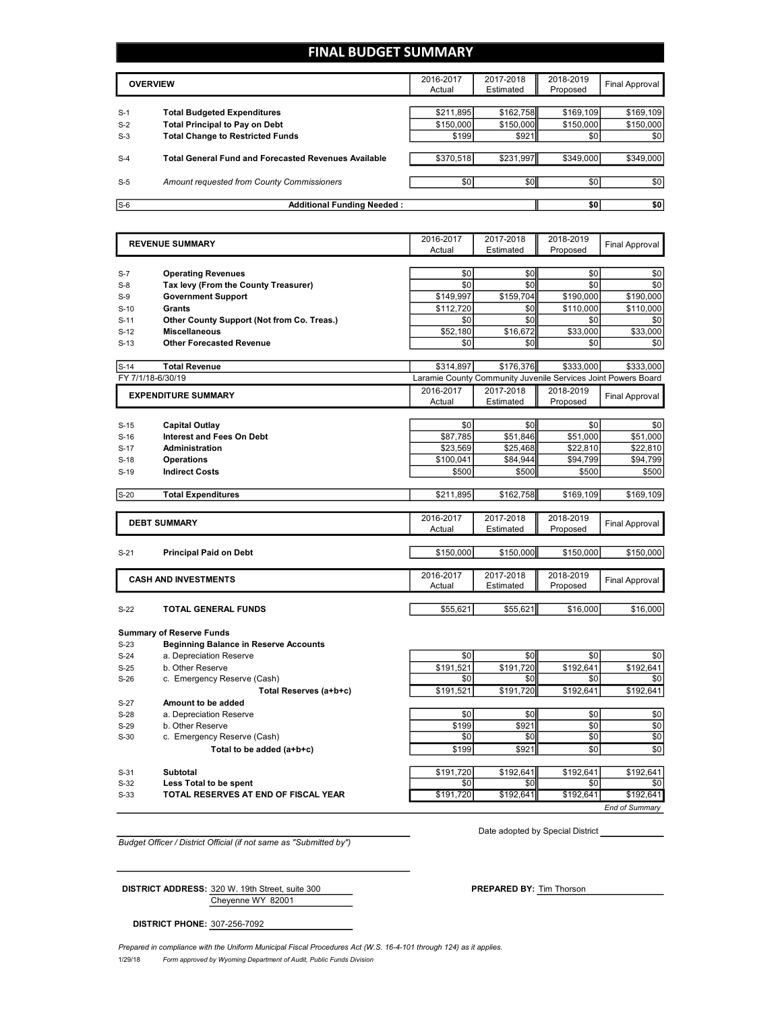## **FINAL BUDGET SUMMARY**

|       | <b>OVERVIEW</b>                                             |                  | 2017-2018<br>Estimated | 2018-2019<br>Proposed | Final Approval |
|-------|-------------------------------------------------------------|------------------|------------------------|-----------------------|----------------|
|       |                                                             |                  |                        |                       |                |
| $S-1$ | <b>Total Budgeted Expenditures</b>                          | \$211,895        | \$162,758              | \$169,109             | \$169,109      |
| $S-2$ | <b>Total Principal to Pay on Debt</b>                       | \$150,000        | \$150,000              | \$150,000             | \$150,000      |
| $S-3$ | <b>Total Change to Restricted Funds</b>                     | \$199            | \$921                  | \$0                   | \$0            |
|       |                                                             |                  |                        |                       |                |
| $S-4$ | <b>Total General Fund and Forecasted Revenues Available</b> | \$370,518        | \$231,997              | \$349,000             | \$349,000      |
|       |                                                             |                  |                        |                       |                |
| $S-5$ | Amount requested from County Commissioners                  | \$0 <sub>1</sub> | \$0 <sub>1</sub>       | \$0 <sub>1</sub>      | \$0            |
|       |                                                             |                  |                        |                       |                |
| $S-6$ | <b>Additional Funding Needed:</b>                           |                  |                        | \$0                   | \$0            |

|        | <b>REVENUE SUMMARY</b>                       | 2016-2017<br>Actual | 2017-2018<br>Estimated                                        | 2018-2019<br>Proposed | <b>Final Approval</b> |
|--------|----------------------------------------------|---------------------|---------------------------------------------------------------|-----------------------|-----------------------|
|        |                                              |                     |                                                               |                       |                       |
| $S-7$  | <b>Operating Revenues</b>                    | \$0                 | \$0                                                           | \$0                   | \$0                   |
| $S-8$  | Tax levy (From the County Treasurer)         | \$0                 | \$0                                                           | \$0                   | \$0                   |
| $S-9$  | <b>Government Support</b>                    | \$149,997           | \$159,704                                                     | \$190,000             | \$190,000             |
| $S-10$ | Grants                                       | \$112,720           | \$0                                                           | \$110,000             | \$110,000             |
| $S-11$ | Other County Support (Not from Co. Treas.)   | \$0                 | \$0                                                           | \$0                   | \$0                   |
| $S-12$ | <b>Miscellaneous</b>                         | \$52,180            | \$16,672                                                      | \$33,000              | \$33,000              |
| $S-13$ | <b>Other Forecasted Revenue</b>              | \$0                 | \$0                                                           | \$0                   | \$0                   |
| $S-14$ | <b>Total Revenue</b>                         | \$314,897           | \$176,376                                                     | \$333,000             | \$333,000             |
|        | FY 7/1/18-6/30/19                            |                     | Laramie County Community Juvenile Services Joint Powers Board |                       |                       |
|        | <b>EXPENDITURE SUMMARY</b>                   | 2016-2017           | 2017-2018                                                     | 2018-2019             | <b>Final Approval</b> |
|        |                                              | Actual              | Estimated                                                     | Proposed              |                       |
| $S-15$ | <b>Capital Outlay</b>                        | \$0                 | \$0                                                           | \$0                   | \$0                   |
| $S-16$ | <b>Interest and Fees On Debt</b>             | \$87.785            | \$51.846                                                      | \$51.000              | \$51,000              |
| $S-17$ | <b>Administration</b>                        | \$23,569            | \$25,468                                                      | \$22,810              | \$22,810              |
| $S-18$ | <b>Operations</b>                            | \$100,041           | \$84,944                                                      | \$94,799              | \$94,799              |
| $S-19$ | <b>Indirect Costs</b>                        | \$500               | \$500                                                         | \$500                 | \$500                 |
| $S-20$ | <b>Total Expenditures</b>                    | \$211,895           | \$162,758                                                     | \$169,109             | \$169,109             |
|        |                                              |                     |                                                               |                       |                       |
|        | <b>DEBT SUMMARY</b>                          | 2016-2017           | 2017-2018                                                     | 2018-2019             | <b>Final Approval</b> |
|        |                                              | Actual              | Estimated                                                     | Proposed              |                       |
| $S-21$ | <b>Principal Paid on Debt</b>                | \$150,000           | \$150,000                                                     | \$150,000             | \$150,000             |
|        |                                              |                     |                                                               |                       |                       |
|        | <b>CASH AND INVESTMENTS</b>                  | 2016-2017           | 2017-2018                                                     | 2018-2019             | <b>Final Approval</b> |
|        |                                              | Actual              | Estimated                                                     | Proposed              |                       |
| $S-22$ | TOTAL GENERAL FUNDS                          | \$55,621            | \$55,621                                                      | \$16,000              | \$16,000              |
|        |                                              |                     |                                                               |                       |                       |
|        | <b>Summary of Reserve Funds</b>              |                     |                                                               |                       |                       |
| $S-23$ | <b>Beginning Balance in Reserve Accounts</b> |                     |                                                               |                       |                       |
| $S-24$ | a. Depreciation Reserve                      | \$0                 | \$0                                                           | \$0                   | \$0                   |
| $S-25$ | b. Other Reserve                             | \$191,521           | \$191,720                                                     | \$192,641<br>\$0      | \$192,641             |
| $S-26$ | c. Emergency Reserve (Cash)                  | \$0                 | \$0                                                           |                       | \$0                   |
| $S-27$ | Total Reserves (a+b+c)<br>Amount to be added | \$191,521           | \$191.720                                                     | \$192.641             | \$192.641             |
| $S-28$ | a. Depreciation Reserve                      | \$0                 | \$0                                                           | \$0                   | \$0                   |
| $S-29$ | b. Other Reserve                             | \$199               | \$921                                                         | \$0                   | \$0                   |
| $S-30$ | c. Emergency Reserve (Cash)                  | \$0                 | \$0                                                           | \$0                   | \$0                   |
|        | Total to be added (a+b+c)                    | \$199               | \$921                                                         | \$0                   | \$0                   |
|        |                                              |                     |                                                               |                       |                       |
| $S-31$ | <b>Subtotal</b>                              | \$191,720           | \$192,641                                                     | \$192,641             | \$192,641             |

**Less Total to be spent**<br>
S-33 **TOTAL RESERVES AT END OF FISCAL YEAR**<br>
S-33 **TOTAL RESERVES AT END OF FISCAL YEAR** S-33 **TOTAL RESERVES AT END OF FISCAL YEAR** \$191,720 \$192,641 \$192,641 \$192,641

Date adopted by Special District

*End of Summary*

*Budget Officer / District Official (if not same as "Submitted by")*

Cheyenne WY 82001 **DISTRICT ADDRESS:** 320 W. 19th Street, suite 300 **PREPARED BY:** Tim Thorson

**DISTRICT PHONE:** 307-256-7092

1/29/18 *Form approved by Wyoming Department of Audit, Public Funds Division Prepared in compliance with the Uniform Municipal Fiscal Procedures Act (W.S. 16-4-101 through 124) as it applies.*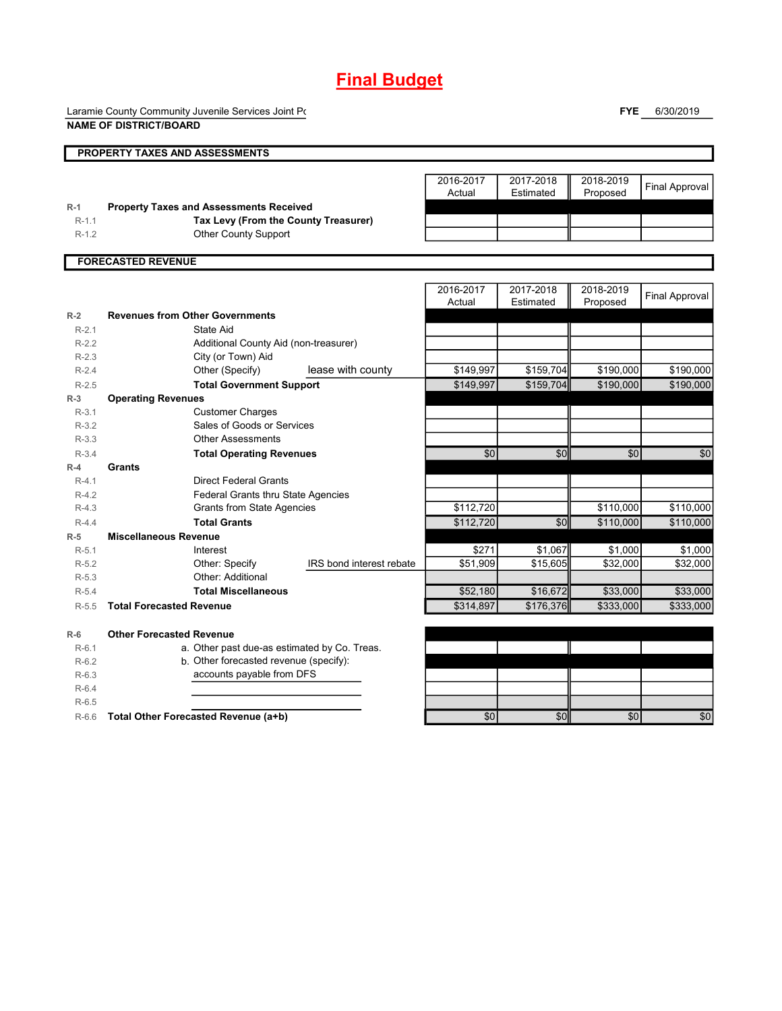# **Final Budget**

Laramie County Community Juvenile Services Joint Power

**FYE** 6/30/2019

|         | <b>NAME OF DISTRICT/BOARD</b>                  |                     |                        |                       |                       |
|---------|------------------------------------------------|---------------------|------------------------|-----------------------|-----------------------|
|         | PROPERTY TAXES AND ASSESSMENTS                 |                     |                        |                       |                       |
|         |                                                | 2016-2017<br>Actual | 2017-2018<br>Estimated | 2018-2019<br>Proposed | <b>Final Approval</b> |
| $R-1$   | <b>Property Taxes and Assessments Received</b> |                     |                        |                       |                       |
| $R-1.1$ | Tax Levy (From the County Treasurer)           |                     |                        |                       |                       |
| $R-1.2$ | <b>Other County Support</b>                    |                     |                        |                       |                       |
|         | <b>FORECASTED REVENUE</b>                      |                     |                        |                       |                       |
|         |                                                | 2016-2017<br>Actual | 2017-2018<br>Estimated | 2018-2019<br>Proposed | <b>Final Approval</b> |
| $R-2$   | <b>Revenues from Other Governments</b>         |                     |                        |                       |                       |
| $R-2.1$ | <b>State Aid</b>                               |                     |                        |                       |                       |
| $R-2.2$ | Additional County Aid (non-treasurer)          |                     |                        |                       |                       |
| $R-2.3$ | City (or Town) Aid                             |                     |                        |                       |                       |
| $R-2.4$ | Other (Specify)<br>lease with county           | \$149,997           | \$159,704              | \$190,000             | \$190,000             |
| $R-2.5$ | <b>Total Government Support</b>                | \$149,997           | \$159,704              | \$190,000             | \$190,000             |
| $R-3$   | <b>Operating Revenues</b>                      |                     |                        |                       |                       |
| $R-3.1$ | <b>Customer Charges</b>                        |                     |                        |                       |                       |
| $R-3.2$ | Sales of Goods or Services                     |                     |                        |                       |                       |
| $R-3.3$ | <b>Other Assessments</b>                       |                     |                        |                       |                       |
| $R-3.4$ | <b>Total Operating Revenues</b>                | $\sqrt{6}$          | $\overline{50}$        | $\sqrt{6}$            | \$0                   |
| $R-4$   | Grants                                         |                     |                        |                       |                       |
| $R-4.1$ | <b>Direct Federal Grants</b>                   |                     |                        |                       |                       |
| $R-4.2$ | Federal Grants thru State Agencies             |                     |                        |                       |                       |
| $R-4.3$ | <b>Grants from State Agencies</b>              | \$112,720           |                        | \$110,000             | \$110,000             |
| $R-4.4$ | <b>Total Grants</b>                            | \$112,720           | $\sqrt{6}$             | \$110,000             | \$110,000             |
| $R-5$   | <b>Miscellaneous Revenue</b>                   |                     |                        |                       |                       |
| $R-5.1$ | Interest                                       | \$271               | \$1,067                | \$1,000               | \$1,000               |
| $R-5.2$ | IRS bond interest rebate<br>Other: Specify     | \$51,909            | \$15,605               | \$32,000              | \$32,000              |
| $R-5.3$ | Other: Additional                              |                     |                        |                       |                       |
| $R-5.4$ | <b>Total Miscellaneous</b>                     | \$52,180            | \$16,672               | \$33,000              | \$33,000              |
| $R-5.5$ | <b>Total Forecasted Revenue</b>                | \$314,897           | \$176,376              | \$333,000             | \$333,000             |
| $R-6$   | <b>Other Forecasted Revenue</b>                |                     |                        |                       |                       |
| $R-6.1$ | a. Other past due-as estimated by Co. Treas.   |                     |                        |                       |                       |
| $R-6.2$ | b. Other forecasted revenue (specify):         |                     |                        |                       |                       |
| $R-6.3$ | accounts payable from DFS                      |                     |                        |                       |                       |
| $R-6.4$ |                                                |                     |                        |                       |                       |
| $R-6.5$ |                                                |                     |                        |                       |                       |

R-6.6 **Total Other Forecasted Revenue (a+b) 12 \ 12 \ 12 \ 13 \ 14 \ 50** \$0 \$0 \$0 \$0 \$0 \$0 \$0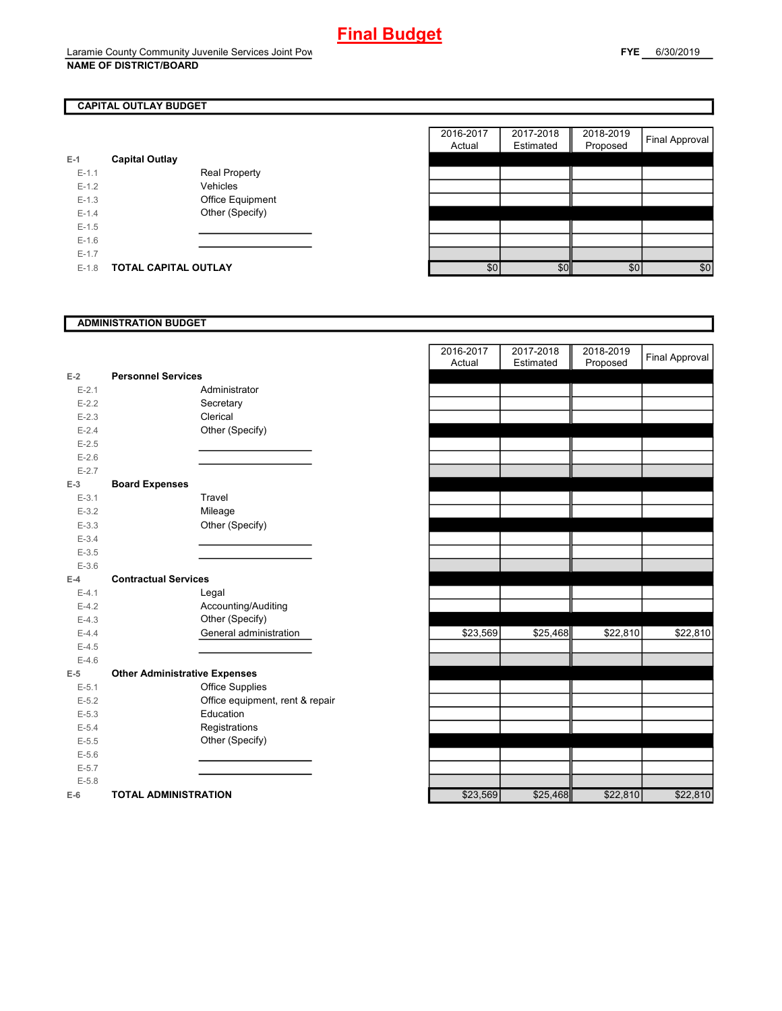## **CAPITAL OUTLAY BUDGET**

| $E-1$     | <b>Capital Outlay</b> |                         |
|-----------|-----------------------|-------------------------|
| $E - 1.1$ |                       | <b>Real Property</b>    |
| $F-12$    |                       | Vehicles                |
| $F-1.3$   |                       | <b>Office Equipment</b> |
| $F-14$    |                       | Other (Specify)         |
| $F-1.5$   |                       |                         |
| $F-16$    |                       |                         |
| $E - 1.7$ |                       |                         |
| $F-1.8$   | TOTAL CAPITAL OUTLAY  |                         |

|                       |                      |                      | 2016-2017 | 2017-2018     | 2018-2019 | <b>Final Approval</b> |
|-----------------------|----------------------|----------------------|-----------|---------------|-----------|-----------------------|
|                       |                      |                      |           |               |           |                       |
| <b>Capital Outlay</b> |                      |                      |           |               |           |                       |
|                       | <b>Real Property</b> |                      |           |               |           |                       |
|                       | Vehicles             |                      |           |               |           |                       |
|                       | Office Equipment     |                      |           |               |           |                       |
|                       | Other (Specify)      |                      |           |               |           |                       |
|                       |                      |                      |           |               |           |                       |
|                       |                      |                      |           |               |           |                       |
|                       |                      |                      |           |               |           |                       |
|                       |                      |                      |           |               | \$0       | \$0                   |
|                       |                      | TOTAL CAPITAL OUTLAY |           | Actual<br>\$0 | Estimated | Proposed<br>\$0       |

### **ADMINISTRATION BUDGET**

| $E-2$     | <b>Personnel Services</b>            |                                 |
|-----------|--------------------------------------|---------------------------------|
| $E - 2.1$ |                                      | Administrator                   |
| $E - 2.2$ |                                      | Secretary                       |
| $E - 2.3$ |                                      | Clerical                        |
| $E - 2.4$ |                                      | Other (Specify)                 |
| $E - 2.5$ |                                      |                                 |
| $E-2.6$   |                                      |                                 |
| $E - 2.7$ |                                      |                                 |
| $E-3$     | <b>Board Expenses</b>                |                                 |
| $E-3.1$   |                                      | Travel                          |
| $E-3.2$   |                                      | Mileage                         |
| $E - 3.3$ |                                      | Other (Specify)                 |
| $E - 3.4$ |                                      |                                 |
| $E - 3.5$ |                                      |                                 |
| $E - 3.6$ |                                      |                                 |
| $E-4$     | <b>Contractual Services</b>          |                                 |
| $E-4.1$   |                                      | Legal                           |
| $E-4.2$   |                                      | Accounting/Auditing             |
| $E-4.3$   |                                      | Other (Specify)                 |
| $E - 4.4$ |                                      | General administration          |
| $E-4.5$   |                                      |                                 |
| $E-4.6$   |                                      |                                 |
| $E-5$     | <b>Other Administrative Expenses</b> |                                 |
| $E - 5.1$ |                                      | <b>Office Supplies</b>          |
| $E - 5.2$ |                                      | Office equipment, rent & repair |
| $E - 5.3$ |                                      | Education                       |
| $E - 5.4$ |                                      | Registrations                   |
| $E - 5.5$ |                                      | Other (Specify)                 |
| $E - 5.6$ |                                      |                                 |
| $E - 5.7$ |                                      |                                 |
| $E - 5.8$ |                                      |                                 |
| E-6       | <b>TOTAL ADMINISTRATION</b>          |                                 |

|           |                                      | 2016-2017<br>Actual | 2017-2018<br>Estimated | 2018-2019<br>Proposed | <b>Final Approval</b> |
|-----------|--------------------------------------|---------------------|------------------------|-----------------------|-----------------------|
| $E-2$     | <b>Personnel Services</b>            |                     |                        |                       |                       |
| $E - 2.1$ | Administrator                        |                     |                        |                       |                       |
| $E - 2.2$ | Secretary                            |                     |                        |                       |                       |
| $E - 2.3$ | Clerical                             |                     |                        |                       |                       |
| $E - 2.4$ | Other (Specify)                      |                     |                        |                       |                       |
| $E - 2.5$ |                                      |                     |                        |                       |                       |
| $E-2.6$   |                                      |                     |                        |                       |                       |
| $E-2.7$   |                                      |                     |                        |                       |                       |
| $E-3$     | <b>Board Expenses</b>                |                     |                        |                       |                       |
| $E-3.1$   | Travel                               |                     |                        |                       |                       |
| $E - 3.2$ | Mileage                              |                     |                        |                       |                       |
| $E - 3.3$ | Other (Specify)                      |                     |                        |                       |                       |
| $E - 3.4$ |                                      |                     |                        |                       |                       |
| $E - 3.5$ |                                      |                     |                        |                       |                       |
| $E - 3.6$ |                                      |                     |                        |                       |                       |
| $E-4$     | <b>Contractual Services</b>          |                     |                        |                       |                       |
| $E - 4.1$ | Legal                                |                     |                        |                       |                       |
| $E-4.2$   | Accounting/Auditing                  |                     |                        |                       |                       |
| $E - 4.3$ | Other (Specify)                      |                     |                        |                       |                       |
| $E-4.4$   | General administration               | \$23,569            | \$25,468               | \$22,810              | \$22,810              |
| $E - 4.5$ |                                      |                     |                        |                       |                       |
| $E-4.6$   |                                      |                     |                        |                       |                       |
| $E-5$     | <b>Other Administrative Expenses</b> |                     |                        |                       |                       |
| $E-5.1$   | <b>Office Supplies</b>               |                     |                        |                       |                       |
| $E - 5.2$ | Office equipment, rent & repair      |                     |                        |                       |                       |
| $E - 5.3$ | Education                            |                     |                        |                       |                       |
| $E - 5.4$ | Registrations                        |                     |                        |                       |                       |
| $E - 5.5$ | Other (Specify)                      |                     |                        |                       |                       |
| $E-5.6$   |                                      |                     |                        |                       |                       |
| $E - 5.7$ |                                      |                     |                        |                       |                       |
| $E - 5.8$ |                                      |                     |                        |                       |                       |
| $E-6$     | <b>TOTAL ADMINISTRATION</b>          | \$23,569            | \$25,468               | \$22,810              | \$22,810              |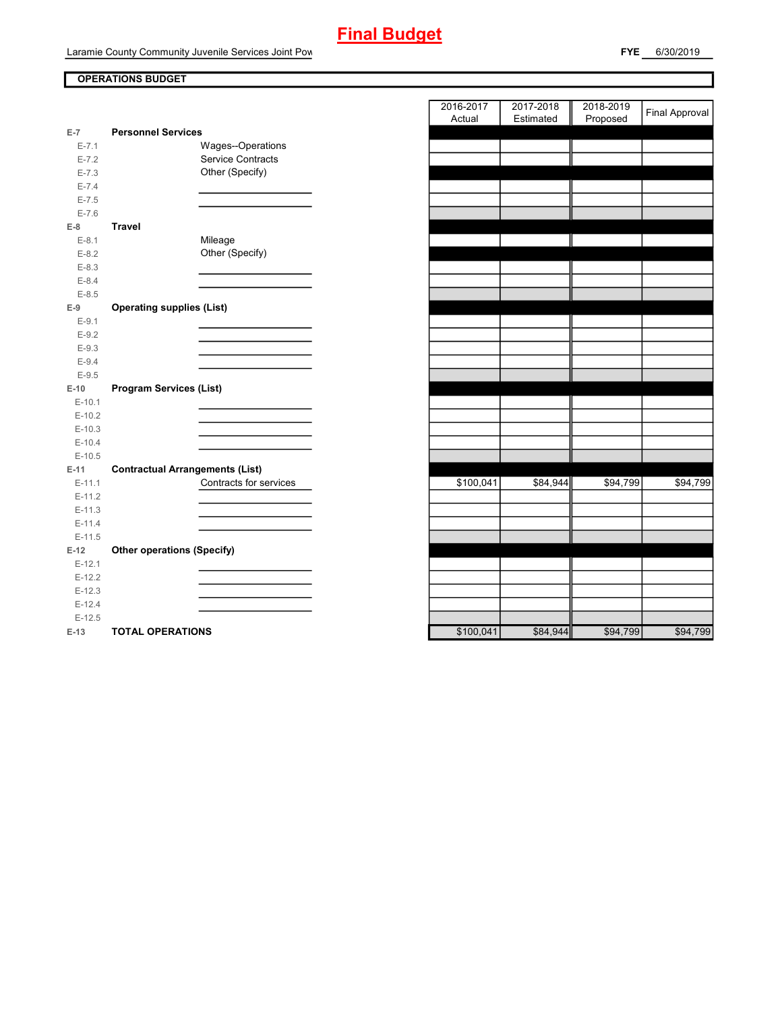# **Final Budget**

Laramie County Community Juvenile Services Joint Pow

## **OPERATIONS BUDGET**

| E-7       | <b>Personnel Services</b>              |                        |
|-----------|----------------------------------------|------------------------|
| $E - 7.1$ | Wages--Operations                      |                        |
| $E - 7.2$ | <b>Service Contracts</b>               |                        |
| $E - 7.3$ | Other (Specify)                        |                        |
| $E - 7.4$ |                                        |                        |
| $E - 7.5$ |                                        |                        |
| $E - 7.6$ |                                        |                        |
| $E-8$     | <b>Travel</b>                          |                        |
| $E-8.1$   | Mileage                                |                        |
| $E-8.2$   | Other (Specify)                        |                        |
| $E-8.3$   |                                        |                        |
| $E - 8.4$ |                                        |                        |
| $E - 8.5$ |                                        |                        |
| $E-9$     | <b>Operating supplies (List)</b>       |                        |
| $E-9.1$   |                                        |                        |
| $E-9.2$   |                                        |                        |
| $E-9.3$   |                                        |                        |
| $E-9.4$   |                                        |                        |
| $E-9.5$   |                                        |                        |
| $E-10$    | <b>Program Services (List)</b>         |                        |
|           |                                        |                        |
| $E-10.1$  |                                        |                        |
| $E-10.2$  |                                        |                        |
| $E-10.3$  |                                        |                        |
| $E-10.4$  |                                        |                        |
| $E-10.5$  |                                        |                        |
| $E-11$    | <b>Contractual Arrangements (List)</b> |                        |
| $E-11.1$  |                                        | Contracts for services |
| $E-11.2$  |                                        |                        |
| $E-11.3$  |                                        |                        |
| $E-11.4$  |                                        |                        |
| $E-11.5$  |                                        |                        |
| $E-12$    | <b>Other operations (Specify)</b>      |                        |
| $E-12.1$  |                                        |                        |
| $E-12.2$  |                                        |                        |
| $E-12.3$  |                                        |                        |
| $E-12.4$  |                                        |                        |
| $E-12.5$  | <b>TOTAL OPERATIONS</b>                |                        |

|                      |                                                                  | 2016-2017 | 2017-2018 | 2018-2019 | Final Approval |
|----------------------|------------------------------------------------------------------|-----------|-----------|-----------|----------------|
|                      |                                                                  | Actual    | Estimated | Proposed  |                |
| $\overline{7}$       | <b>Personnel Services</b>                                        |           |           |           |                |
| $E - 7.1$            | Wages--Operations<br><b>Service Contracts</b>                    |           |           |           |                |
| $E - 7.2$            | Other (Specify)                                                  |           |           |           |                |
| $E - 7.3$            |                                                                  |           |           |           |                |
| $E - 7.4$            |                                                                  |           |           |           |                |
| $E - 7.5$            |                                                                  |           |           |           |                |
| $E - 7.6$            |                                                                  |           |           |           |                |
| 8                    | <b>Travel</b>                                                    |           |           |           |                |
| $E-8.1$              | Mileage<br>Other (Specify)                                       |           |           |           |                |
| $E-8.2$              |                                                                  |           |           |           |                |
| $E-8.3$              |                                                                  |           |           |           |                |
| $E - 8.4$            |                                                                  |           |           |           |                |
| $E - 8.5$            |                                                                  |           |           |           |                |
| 9                    | <b>Operating supplies (List)</b>                                 |           |           |           |                |
| $E-9.1$              |                                                                  |           |           |           |                |
| $E-9.2$              |                                                                  |           |           |           |                |
| $E - 9.3$            |                                                                  |           |           |           |                |
| $E-9.4$              |                                                                  |           |           |           |                |
| $E - 9.5$            |                                                                  |           |           |           |                |
| 10                   | <b>Program Services (List)</b>                                   |           |           |           |                |
| $E-10.1$             |                                                                  |           |           |           |                |
| $E-10.2$             |                                                                  |           |           |           |                |
| $E-10.3$             |                                                                  |           |           |           |                |
| $E-10.4$             |                                                                  |           |           |           |                |
| $E-10.5$             |                                                                  |           |           |           |                |
| 11                   | <b>Contractual Arrangements (List)</b><br>Contracts for services |           |           |           |                |
| $E-11.1$             |                                                                  | \$100,041 | \$84,944  | \$94,799  | \$94,799       |
| $E-11.2$             |                                                                  |           |           |           |                |
| $E-11.3$             |                                                                  |           |           |           |                |
| $E-11.4$<br>$E-11.5$ |                                                                  |           |           |           |                |
|                      |                                                                  |           |           |           |                |
| 12                   | <b>Other operations (Specify)</b>                                |           |           |           |                |
| $E-12.1$             |                                                                  |           |           |           |                |
| $E-12.2$             |                                                                  |           |           |           |                |
| $E-12.3$             |                                                                  |           |           |           |                |
| $E-12.4$<br>$E-12.5$ |                                                                  |           |           |           |                |
| 13                   | TOTAL OPERATIONS                                                 | \$100041  | \$84,944  | \$94,799  | \$94 799       |
|                      |                                                                  |           |           |           |                |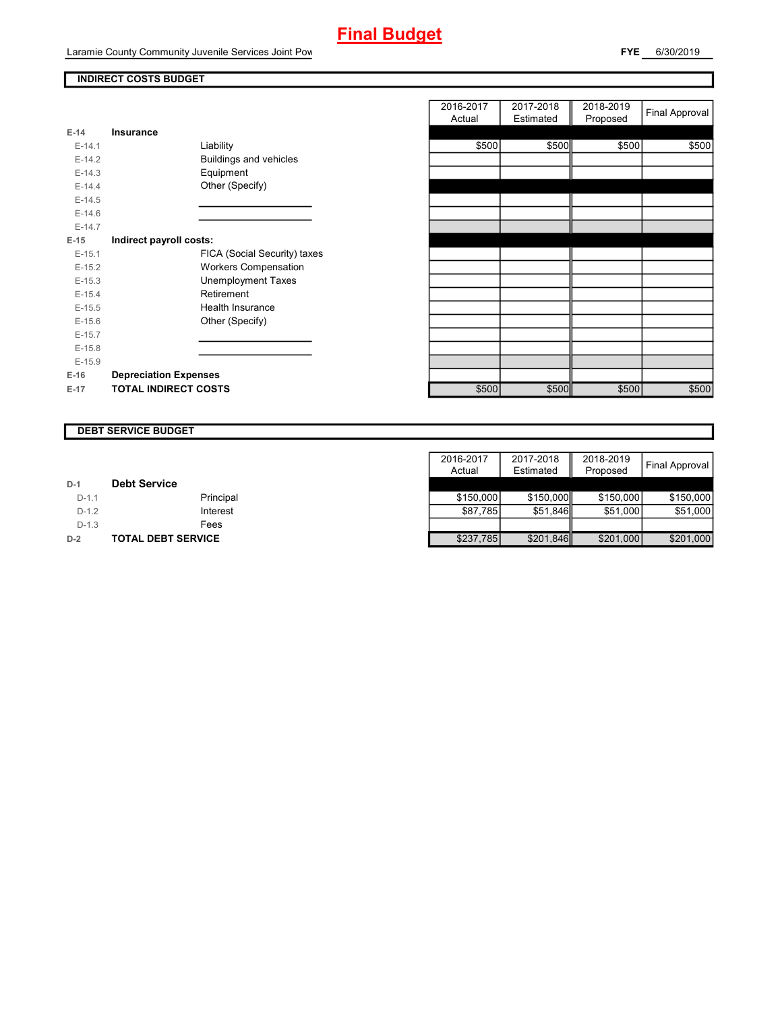# **Final Budget**

Laramie County Community Juvenile Services Joint Pow

## **INDIRECT COSTS BUDGET**

| $E-14$     | <b>Insurance</b>             |
|------------|------------------------------|
| $F-14.1$   | Liability                    |
| $F-142$    | Buildings and vehicles       |
| $E-14.3$   | Equipment                    |
| $F-144$    | Other (Specify)              |
| $E-14.5$   |                              |
| $E-14.6$   |                              |
| $E-14.7$   |                              |
| E-15       | Indirect payroll costs:      |
| $E-15.1$   | FICA (Social Security) taxes |
| $E-15.2$   | <b>Workers Compensation</b>  |
| $E-15.3$   | Unemployment Taxes           |
| $F-154$    | Retirement                   |
| $E-15.5$   | Health Insurance             |
| $E - 15.6$ | Other (Specify)              |
| $E-15.7$   |                              |
| $E-15.8$   |                              |
| $E-15.9$   |                              |
| $E-16$     | <b>Depreciation Expenses</b> |
| E-17       | <b>TOTAL INDIRECT COSTS</b>  |

|          |                              | 2016-2017<br>Actual | 2017-2018<br>Estimated | 2018-2019<br>Proposed | <b>Final Approval</b> |
|----------|------------------------------|---------------------|------------------------|-----------------------|-----------------------|
| $E-14$   | <b>Insurance</b>             |                     |                        |                       |                       |
| $E-14.1$ | Liability                    | \$500               | \$500                  | \$500                 | \$500                 |
| $E-14.2$ | Buildings and vehicles       |                     |                        |                       |                       |
| $E-14.3$ | Equipment                    |                     |                        |                       |                       |
| $E-14.4$ | Other (Specify)              |                     |                        |                       |                       |
| $E-14.5$ |                              |                     |                        |                       |                       |
| $E-14.6$ |                              |                     |                        |                       |                       |
| $E-14.7$ |                              |                     |                        |                       |                       |
| $E-15$   | Indirect payroll costs:      |                     |                        |                       |                       |
| $E-15.1$ | FICA (Social Security) taxes |                     |                        |                       |                       |
| $E-15.2$ | <b>Workers Compensation</b>  |                     |                        |                       |                       |
| $E-15.3$ | <b>Unemployment Taxes</b>    |                     |                        |                       |                       |
| $E-15.4$ | Retirement                   |                     |                        |                       |                       |
| $E-15.5$ | Health Insurance             |                     |                        |                       |                       |
| $E-15.6$ | Other (Specify)              |                     |                        |                       |                       |
| $E-15.7$ |                              |                     |                        |                       |                       |
| $E-15.8$ |                              |                     |                        |                       |                       |
| $E-15.9$ |                              |                     |                        |                       |                       |
| E-16     | <b>Depreciation Expenses</b> |                     |                        |                       |                       |
| $E-17$   | <b>TOTAL INDIRECT COSTS</b>  | \$500               | \$500                  | \$500                 | \$500                 |

#### **DEBT SERVICE BUDGET**

|         |                     | 2016-2017 | 2017-2018 | 2018-2019 |                       |
|---------|---------------------|-----------|-----------|-----------|-----------------------|
|         |                     | Actual    | Estimated | Proposed  | <b>Final Approval</b> |
| $D-1$   | <b>Debt Service</b> |           |           |           |                       |
| $D-1.1$ | Principal           | \$150,000 | \$150,000 | \$150,000 | \$150,000             |
| $D-1.2$ | Interest            | \$87.785  | \$51.846  | \$51.000  | \$51,000              |
| $D-1.3$ | Fees                |           |           |           |                       |
| $D-2$   | TOTAL DEBT SERVICE  | \$237,785 | \$201,846 | \$201,000 | \$201,000             |